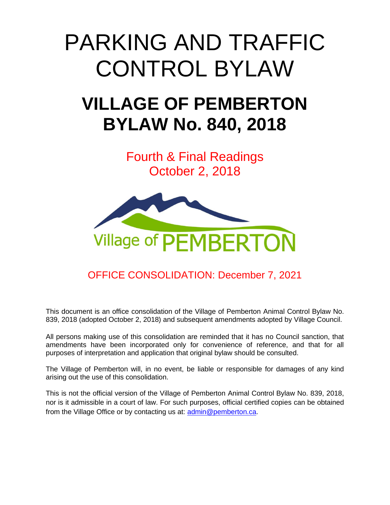# PARKING AND TRAFFIC CONTROL BYLAW

## **VILLAGE OF PEMBERTON BYLAW No. 840, 2018**

Fourth & Final Readings October 2, 2018



### OFFICE CONSOLIDATION: December 7, 2021

This document is an office consolidation of the Village of Pemberton Animal Control Bylaw No. 839, 2018 (adopted October 2, 2018) and subsequent amendments adopted by Village Council.

All persons making use of this consolidation are reminded that it has no Council sanction, that amendments have been incorporated only for convenience of reference, and that for all purposes of interpretation and application that original bylaw should be consulted.

The Village of Pemberton will, in no event, be liable or responsible for damages of any kind arising out the use of this consolidation.

This is not the official version of the Village of Pemberton Animal Control Bylaw No. 839, 2018, nor is it admissible in a court of law. For such purposes, official certified copies can be obtained from the Village Office or by contacting us at: [admin@pemberton.ca.](mailto:admin@pemberton.ca)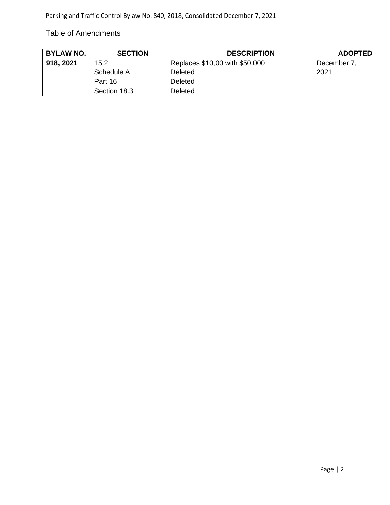#### Table of Amendments

| <b>BYLAW NO.</b> | <b>SECTION</b> | <b>DESCRIPTION</b>             | <b>ADOPTED</b> |
|------------------|----------------|--------------------------------|----------------|
| 918, 2021        | 15.2           | Replaces \$10,00 with \$50,000 | December 7,    |
|                  | Schedule A     | <b>Deleted</b>                 | 2021           |
|                  | Part 16        | Deleted                        |                |
|                  | Section 18.3   | Deleted                        |                |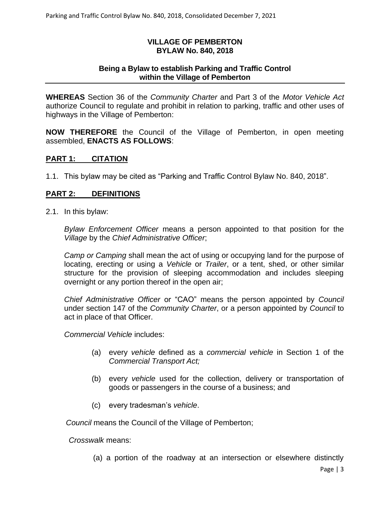#### **VILLAGE OF PEMBERTON BYLAW No. 840, 2018**

#### **Being a Bylaw to establish Parking and Traffic Control within the Village of Pemberton**

**WHEREAS** Section 36 of the *Community Charter* and Part 3 of the *Motor Vehicle Act* authorize Council to regulate and prohibit in relation to parking, traffic and other uses of highways in the Village of Pemberton:

**NOW THEREFORE** the Council of the Village of Pemberton, in open meeting assembled, **ENACTS AS FOLLOWS**:

#### **PART 1: CITATION**

1.1. This bylaw may be cited as "Parking and Traffic Control Bylaw No. 840, 2018".

#### **PART 2: DEFINITIONS**

2.1. In this bylaw:

*Bylaw Enforcement Officer* means a person appointed to that position for the *Village* by the *Chief Administrative Officer*;

*Camp or Camping* shall mean the act of using or occupying land for the purpose of locating, erecting or using a *Vehicle* or *Trailer*, or a tent, shed, or other similar structure for the provision of sleeping accommodation and includes sleeping overnight or any portion thereof in the open air;

*Chief Administrative Officer* or "CAO" means the person appointed by *Council*  under section 147 of the *Community Charter*, or a person appointed by *Council* to act in place of that Officer.

*Commercial Vehicle* includes:

- (a) every *vehicle* defined as a *commercial vehicle* in Section 1 of the *Commercial Transport Act;*
- (b) every *vehicle* u*s*ed for the collection, delivery or transportation of goods or passengers in the course of a business; and
- (c) every tradesman's *vehicle*.

*Council* means the Council of the Village of Pemberton;

*Crosswalk* means:

(a) a portion of the roadway at an intersection or elsewhere distinctly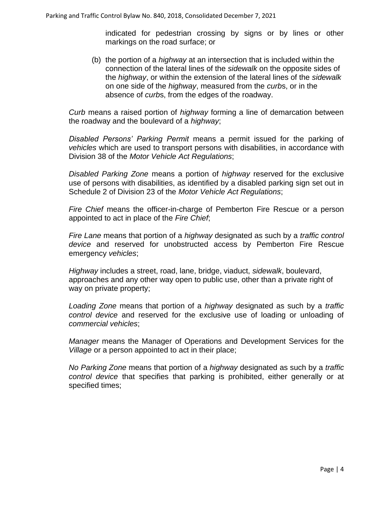indicated for pedestrian crossing by signs or by lines or other markings on the road surface; or

(b) the portion of a *highway* at an intersection that is included within the connection of the lateral lines of the *sidewalk* on the opposite sides of the *highway*, or within the extension of the lateral lines of the *sidewalk* on one side of the *highway*, measured from the *curb*s, or in the absence of *curb*s, from the edges of the roadway.

*Curb* means a raised portion of *highway* forming a line of demarcation between the roadway and the boulevard of a *highway*;

*Disabled Persons' Parking Permit* means a permit issued for the parking of *vehicles* which are used to transport persons with disabilities, in accordance with Division 38 of the *Motor Vehicle Act Regulations*;

*Disabled Parking Zone* means a portion of *highway* reserved for the exclusive use of persons with disabilities, as identified by a disabled parking sign set out in Schedule 2 of Division 23 of the *Motor Vehicle Act Regulations*;

*Fire Chief* means the officer-in-charge of Pemberton Fire Rescue or a person appointed to act in place of the *Fire Chief*;

*Fire Lane* means that portion of a *highway* designated as such by a *traffic control device* and reserved for unobstructed access by Pemberton Fire Rescue emergency *vehicles*;

*Highway* includes a street, road, lane, bridge, viaduct, *sidewalk*, boulevard, approaches and any other way open to public use, other than a private right of way on private property;

*Loading Zone* means that portion of a *highway* designated as such by a *traffic control device* and reserved for the exclusive use of loading or unloading of *commercial vehicles*;

*Manager* means the Manager of Operations and Development Services for the *Village* or a person appointed to act in their place;

*No Parking Zone* means that portion of a *highway* designated as such by a *traffic control device* that specifies that parking is prohibited, either generally or at specified times;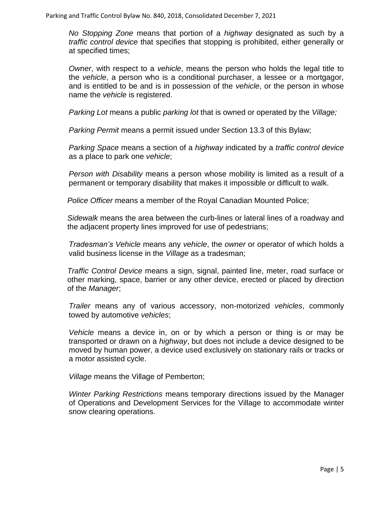*No Stopping Zone* means that portion of a *highway* designated as such by a *traffic control device* that specifies that stopping is prohibited, either generally or at specified times;

*Owner*, with respect to a *vehicle*, means the person who holds the legal title to the *vehicle*, a person who is a conditional purchaser, a lessee or a mortgagor, and is entitled to be and is in possession of the *vehicle*, or the person in whose name the *vehicle* is registered.

*Parking Lot* means a public *parking lot* that is owned or operated by the *Village;*

*Parking Permit* means a permit issued under Section 13.3 of this Bylaw;

*Parking Space* means a section of a *highway* indicated by a *traffic control device* as a place to park one *vehicle*;

*Person with Disability* means a person whose mobility is limited as a result of a permanent or temporary disability that makes it impossible or difficult to walk.

*Police Officer* means a member of the Royal Canadian Mounted Police;

*Sidewalk* means the area between the curb-lines or lateral lines of a roadway and the adjacent property lines improved for use of pedestrians;

*Tradesman's Vehicle* means any *vehicle*, the *owner* or operator of which holds a valid business license in the *Village* as a tradesman;

*Traffic Control Device* means a sign, signal, painted line, meter, road surface or other marking, space, barrier or any other device, erected or placed by direction of the *Manager*;

*Trailer* means any of various accessory, non-motorized *vehicles*, commonly towed by automotive *vehicles*;

*Vehicle* means a device in, on or by which a person or thing is or may be transported or drawn on a *highway*, but does not include a device designed to be moved by human power, a device used exclusively on stationary rails or tracks or a motor assisted cycle.

*Village* means the Village of Pemberton;

*Winter Parking Restrictions* means temporary directions issued by the Manager of Operations and Development Services for the Village to accommodate winter snow clearing operations.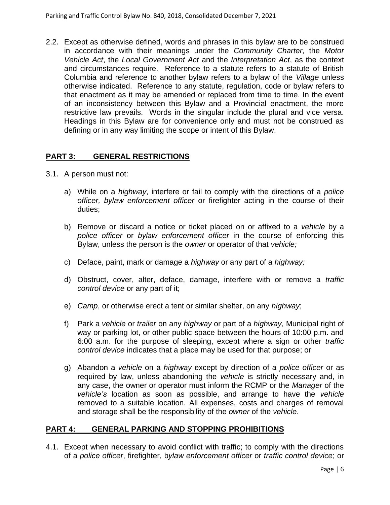2.2. Except as otherwise defined, words and phrases in this bylaw are to be construed in accordance with their meanings under the *Community Charter*, the *Motor Vehicle Act*, the *Local Government Act* and the *Interpretation Act*, as the context and circumstances require. Reference to a statute refers to a statute of British Columbia and reference to another bylaw refers to a bylaw of the *Village* unless otherwise indicated. Reference to any statute, regulation, code or bylaw refers to that enactment as it may be amended or replaced from time to time. In the event of an inconsistency between this Bylaw and a Provincial enactment, the more restrictive law prevails. Words in the singular include the plural and vice versa. Headings in this Bylaw are for convenience only and must not be construed as defining or in any way limiting the scope or intent of this Bylaw.

#### **PART 3: GENERAL RESTRICTIONS**

- 3.1. A person must not:
	- a) While on a *highway*, interfere or fail to comply with the directions of a *police officer, bylaw enforcement officer* or firefighter acting in the course of their duties;
	- b) Remove or discard a notice or ticket placed on or affixed to a *vehicle* by a *police officer* or *bylaw enforcement officer* in the course of enforcing this Bylaw, unless the person is the *owner* or operator of that *vehicle;*
	- c) Deface, paint, mark or damage a *highway* or any part of a *highway;*
	- d) Obstruct, cover, alter, deface, damage, interfere with or remove a *traffic control device* or any part of it;
	- e) *Camp*, or otherwise erect a tent or similar shelter, on any *highway*;
	- f) Park a *vehicle* or *trailer* on any *highway* or part of a *highway*, Municipal right of way or parking lot, or other public space between the hours of 10:00 p.m. and 6:00 a.m. for the purpose of sleeping, except where a sign or other *traffic control device* indicates that a place may be used for that purpose; or
	- g) Abandon a *vehicle* on a *highway* except by direction of a *police officer* or as required by law, unless abandoning the *vehicle* is strictly necessary and, in any case, the owner or operator must inform the RCMP or the *Manager* of the *vehicle's* location as soon as possible, and arrange to have the *vehicle* removed to a suitable location. All expenses, costs and charges of removal and storage shall be the responsibility of the *owner* of the *vehicle*.

#### **PART 4: GENERAL PARKING AND STOPPING PROHIBITIONS**

4.1. Except when necessary to avoid conflict with traffic; to comply with the directions of a *police officer*, firefighter, b*ylaw enforcement officer* or *traffic control device*; or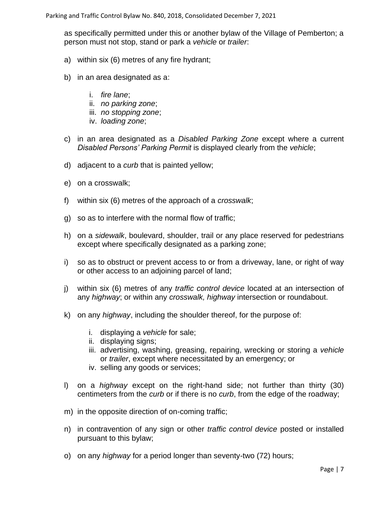as specifically permitted under this or another bylaw of the Village of Pemberton; a person must not stop, stand or park a *vehicle* or *trailer*:

- a) within six (6) metres of any fire hydrant;
- b) in an area designated as a:
	- i. *fire lane*;
	- ii. *no parking zone*;
	- iii. *no stopping zone*;
	- iv. *loading zone*;
- c) in an area designated as a *Disabled Parking Zone* except where a current *Disabled Persons' Parking Permit* is displayed clearly from the *vehicle*;
- d) adjacent to a *curb* that is painted yellow;
- e) on a crosswalk;
- f) within six (6) metres of the approach of a *crosswalk*;
- g) so as to interfere with the normal flow of traffic;
- h) on a *sidewalk*, boulevard, shoulder, trail or any place reserved for pedestrians except where specifically designated as a parking zone;
- i) so as to obstruct or prevent access to or from a driveway, lane, or right of way or other access to an adjoining parcel of land;
- j) within six (6) metres of any *traffic control device* located at an intersection of any *highway*; or within any *crosswalk, highway* intersection or roundabout.
- k) on any *highway*, including the shoulder thereof, for the purpose of:
	- i. displaying a *vehicle* for sale;
	- ii. displaying signs;
	- iii. advertising, washing, greasing, repairing, wrecking or storing a *vehicle* or *trailer*, except where necessitated by an emergency; or
	- iv. selling any goods or services;
- l) on a *highway* except on the right-hand side; not further than thirty (30) centimeters from the *curb* or if there is no *curb*, from the edge of the roadway;
- m) in the opposite direction of on-coming traffic;
- n) in contravention of any sign or other *traffic control device* posted or installed pursuant to this bylaw;
- o) on any *highway* for a period longer than seventy-two (72) hours;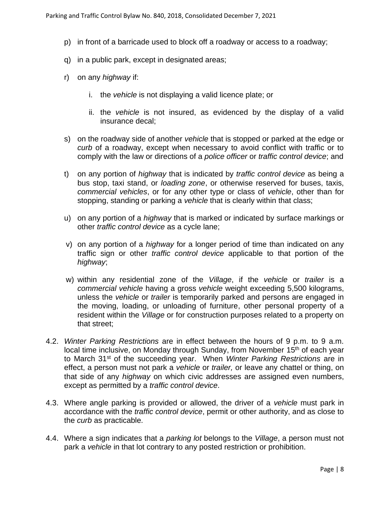- p) in front of a barricade used to block off a roadway or access to a roadway;
- q) in a public park, except in designated areas;
- r) on any *highway* if:
	- i. the *vehicle* is not displaying a valid licence plate; or
	- ii. the *vehicle* is not insured, as evidenced by the display of a valid insurance decal;
- s) on the roadway side of another *vehicle* that is stopped or parked at the edge or *curb* of a roadway, except when necessary to avoid conflict with traffic or to comply with the law or directions of a *police officer* or *traffic control device*; and
- t) on any portion of *highway* that is indicated by *traffic control device* as being a bus stop, taxi stand, or *loading zone*, or otherwise reserved for buses, taxis, *commercial vehicles*, or for any other type or class of *vehicle*, other than for stopping, standing or parking a *vehicle* that is clearly within that class;
- u) on any portion of a *highway* that is marked or indicated by surface markings or other *traffic control device* as a cycle lane;
- v) on any portion of a *highway* for a longer period of time than indicated on any traffic sign or other *traffic control device* applicable to that portion of the *highway*;
- w) within any residential zone of the *Village*, if the *vehicle* or *trailer* is a *commercial vehicle* having a gross *vehicle* weight exceeding 5,500 kilograms, unless the *vehicle* or *trailer* is temporarily parked and persons are engaged in the moving, loading, or unloading of furniture, other personal property of a resident within the *Village* or for construction purposes related to a property on that street;
- 4.2. *Winter Parking Restrictions* are in effect between the hours of 9 p.m. to 9 a.m. local time inclusive, on Monday through Sunday, from November 15<sup>th</sup> of each year to March 31st of the succeeding year. When *Winter Parking Restrictions* are in effect, a person must not park a *vehicle* or *trailer,* or leave any chattel or thing, on that side of any *highway* on which civic addresses are assigned even numbers, except as permitted by a *traffic control device*.
- 4.3. Where angle parking is provided or allowed, the driver of a *vehicle* must park in accordance with the *traffic control device*, permit or other authority, and as close to the *curb* as practicable.
- 4.4. Where a sign indicates that a *parking lot* belongs to the *Village*, a person must not park a *vehicle* in that lot contrary to any posted restriction or prohibition.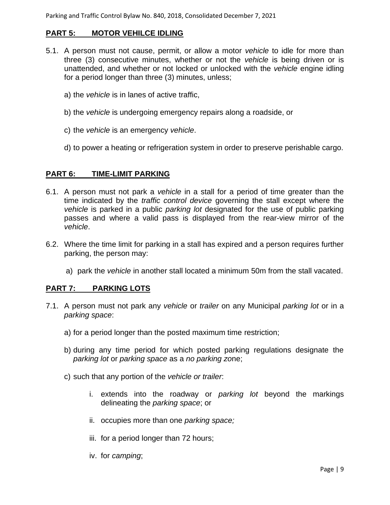Parking and Traffic Control Bylaw No. 840, 2018, Consolidated December 7, 2021

#### **PART 5: MOTOR VEHILCE IDLING**

- 5.1. A person must not cause, permit, or allow a motor *vehicle* to idle for more than three (3) consecutive minutes, whether or not the *vehicle* is being driven or is unattended, and whether or not locked or unlocked with the *vehicle* engine idling for a period longer than three (3) minutes, unless;
	- a) the *vehicle* is in lanes of active traffic,
	- b) the *vehicle* is undergoing emergency repairs along a roadside, or
	- c) the *vehicle* is an emergency *vehicle*.
	- d) to power a heating or refrigeration system in order to preserve perishable cargo.

#### **PART 6: TIME-LIMIT PARKING**

- 6.1. A person must not park a *vehicle* in a stall for a period of time greater than the time indicated by the *traffic control device* governing the stall except where the *vehicle* is parked in a public *parking lot* designated for the use of public parking passes and where a valid pass is displayed from the rear-view mirror of the *vehicle*.
- 6.2. Where the time limit for parking in a stall has expired and a person requires further parking, the person may:
	- a) park the *vehicle* in another stall located a minimum 50m from the stall vacated.

#### **PART 7: PARKING LOTS**

- 7.1. A person must not park any *vehicle* or *trailer* on any Municipal *parking lot* or in a *parking space*:
	- a) for a period longer than the posted maximum time restriction;
	- b) during any time period for which posted parking regulations designate the *parking lot* or *parking space* as a *no parking zo*ne;
	- c) such that any portion of the *vehicle or trailer*:
		- i. extends into the roadway or *parking lot* beyond the markings delineating the *parking space*; or
		- ii. occupies more than one *parking space;*
		- iii. for a period longer than 72 hours;
		- iv. for *camping*;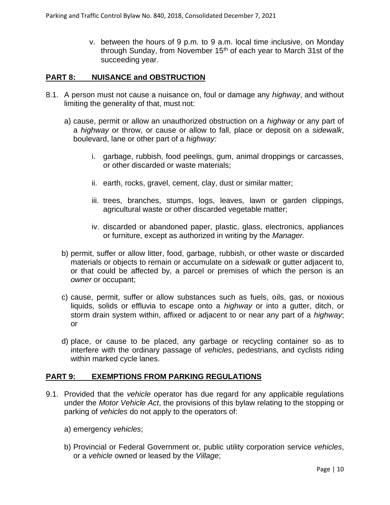v. between the hours of 9 p.m. to 9 a.m. local time inclusive, on Monday through Sunday, from November  $15<sup>th</sup>$  of each year to March 31st of the succeeding year.

#### **PART 8: NUISANCE and OBSTRUCTION**

- 8.1. A person must not cause a nuisance on, foul or damage any *highway*, and without limiting the generality of that, must not:
	- a) cause, permit or allow an unauthorized obstruction on a *highway* or any part of a *highway* or throw, or cause or allow to fall, place or deposit on a *sidewalk*, boulevard, lane or other part of a *highway:*
		- i. garbage, rubbish, food peelings, gum, animal droppings or carcasses, or other discarded or waste materials;
		- ii. earth, rocks, gravel, cement, clay, dust or similar matter;
		- iii. trees, branches, stumps, logs, leaves, lawn or garden clippings, agricultural waste or other discarded vegetable matter;
		- iv. discarded or abandoned paper, plastic, glass, electronics, appliances or furniture, except as authorized in writing by the *Manager.*
	- b) permit, suffer or allow litter, food, garbage, rubbish, or other waste or discarded materials or objects to remain or accumulate on a *sidewalk* or gutter adjacent to, or that could be affected by, a parcel or premises of which the person is an *owner* or occupant;
	- c) cause, permit, suffer or allow substances such as fuels, oils, gas, or noxious liquids, solids or effluvia to escape onto a *highway* or into a gutter, ditch, or storm drain system within, affixed or adjacent to or near any part of a *highway*; or
	- d) place, or cause to be placed, any garbage or recycling container so as to interfere with the ordinary passage of *vehicles*, pedestrians, and cyclists riding within marked cycle lanes.

#### **PART 9: EXEMPTIONS FROM PARKING REGULATIONS**

- 9.1. Provided that the *vehicle* operator has due regard for any applicable regulations under the *Motor Vehicle Act*, the provisions of this bylaw relating to the stopping or parking of *vehicles* do not apply to the operators of:
	- a) emergency *vehicles*;
	- b) Provincial or Federal Government or, public utility corporation service *vehicles*, or a *vehicle* owned or leased by the *Village*;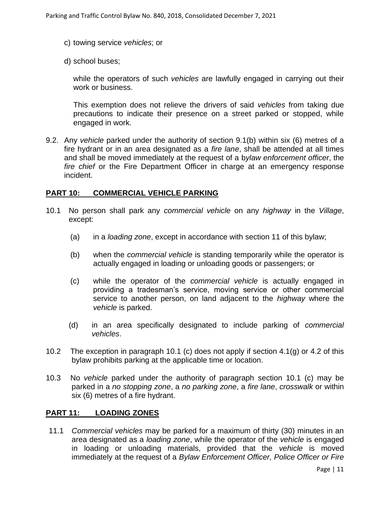- c) towing service *vehicles*; or
- d) school buses;

while the operators of such *vehicles* are lawfully engaged in carrying out their work or business.

This exemption does not relieve the drivers of said *vehicles* from taking due precautions to indicate their presence on a street parked or stopped, while engaged in work.

9.2. Any *vehicle* parked under the authority of section 9.1(b) within six (6) metres of a fire hydrant or in an area designated as a *fire lane*, shall be attended at all times and shall be moved immediately at the request of a b*ylaw enforcement officer*, the *fire chief* or the Fire Department Officer in charge at an emergency response incident.

#### **PART 10: COMMERCIAL VEHICLE PARKING**

- 10.1 No person shall park any *commercial vehicle* on any *highway* in the *Village*, except:
	- (a) in a *loading zone*, except in accordance with section 11 of this bylaw;
	- (b) when the *commercial vehicle* is standing temporarily while the operator is actually engaged in loading or unloading goods or passengers; or
	- (c) while the operator of the *commercial vehicle* is actually engaged in providing a tradesman's service, moving service or other commercial service to another person, on land adjacent to the *highway* where the *vehicle* is parked.
	- (d) in an area specifically designated to include parking of *commercial vehicles*.
- 10.2 The exception in paragraph 10.1 (c) does not apply if section 4.1(g) or 4.2 of this bylaw prohibits parking at the applicable time or location.
- 10.3 No *vehicle* parked under the authority of paragraph section 10.1 (c) may be parked in a *no stopping zone*, a *no parking zone*, a *fire lane*, *crosswalk* or within six (6) metres of a fire hydrant.

#### **PART 11: LOADING ZONES**

11.1 *Commercial vehicles* may be parked for a maximum of thirty (30) minutes in an area designated as a *loading zone*, while the operator of the *vehicle* is engaged in loading or unloading materials, provided that the *vehicle* is moved immediately at the request of a *Bylaw Enforcement Officer, Police Officer or Fire*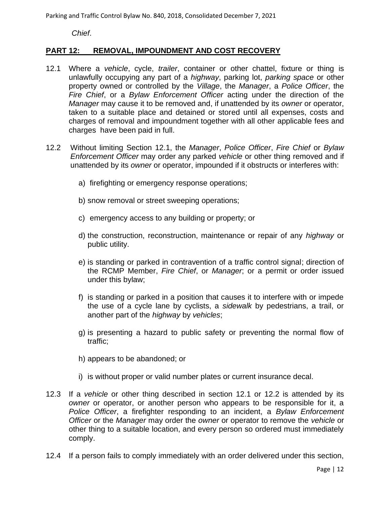Parking and Traffic Control Bylaw No. 840, 2018, Consolidated December 7, 2021

*Chief*.

#### **PART 12: REMOVAL, IMPOUNDMENT AND COST RECOVERY**

- 12.1 Where a *vehicle*, cycle, *trailer*, container or other chattel, fixture or thing is unlawfully occupying any part of a *highway*, parking lot, *parking space* or other property owned or controlled by the *Village*, the *Manager*, a *Police Officer*, the *Fire Chief*, or a *Bylaw Enforcement Officer* acting under the direction of the *Manager* may cause it to be removed and, if unattended by its *owner* or operator, taken to a suitable place and detained or stored until all expenses, costs and charges of removal and impoundment together with all other applicable fees and charges have been paid in full.
- 12.2 Without limiting Section 12.1, the *Manager*, *Police Officer*, *Fire Chief* or *Bylaw Enforcement Officer* may order any parked *vehicle* or other thing removed and if unattended by its *owner* or operator, impounded if it obstructs or interferes with:
	- a) firefighting or emergency response operations;
	- b) snow removal or street sweeping operations;
	- c) emergency access to any building or property; or
	- d) the construction, reconstruction, maintenance or repair of any *highway* or public utility.
	- e) is standing or parked in contravention of a traffic control signal; direction of the RCMP Member, *Fire Chief*, or *Manager*; or a permit or order issued under this bylaw;
	- f) is standing or parked in a position that causes it to interfere with or impede the use of a cycle lane by cyclists, a *sidewalk* by pedestrians, a trail, or another part of the *highway* by *vehicles*;
	- g) is presenting a hazard to public safety or preventing the normal flow of traffic;
	- h) appears to be abandoned; or
	- i) is without proper or valid number plates or current insurance decal.
- 12.3 If a *vehicle* or other thing described in section 12.1 or 12.2 is attended by its *owner* or operator, or another person who appears to be responsible for it, a *Police Officer*, a firefighter responding to an incident, a *Bylaw Enforcement Officer* or the *Manager* may order the *owner* or operator to remove the *vehicle* or other thing to a suitable location, and every person so ordered must immediately comply.
- 12.4 If a person fails to comply immediately with an order delivered under this section,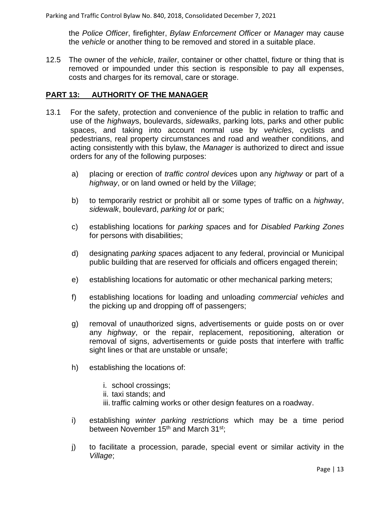the *Police Officer*, firefighter, *Bylaw Enforcement Officer* or *Manager* may cause the *vehicle* or another thing to be removed and stored in a suitable place.

12.5 The owner of the *vehicle*, *trailer*, container or other chattel, fixture or thing that is removed or impounded under this section is responsible to pay all expenses, costs and charges for its removal, care or storage.

#### **PART 13: AUTHORITY OF THE MANAGER**

- 13.1 For the safety, protection and convenience of the public in relation to traffic and use of the *highway*s, boulevards, *sidewalks*, parking lots, parks and other public spaces, and taking into account normal use by *vehicles*, cyclists and pedestrians, real property circumstances and road and weather conditions, and acting consistently with this bylaw, the *Manager* is authorized to direct and issue orders for any of the following purposes:
	- a) placing or erection of *traffic control device*s upon any *highway* or part of a *highway*, or on land owned or held by the *Village*;
	- b) to temporarily restrict or prohibit all or some types of traffic on a *highway*, *sidewalk*, boulevard, *parking lot* or park;
	- c) establishing locations for *parking space*s and for *Disabled Parking Zones* for persons with disabilities;
	- d) designating *parking space*s adjacent to any federal, provincial or Municipal public building that are reserved for officials and officers engaged therein;
	- e) establishing locations for automatic or other mechanical parking meters;
	- f) establishing locations for loading and unloading *commercial vehicles* and the picking up and dropping off of passengers;
	- g) removal of unauthorized signs, advertisements or guide posts on or over any *highway*, or the repair, replacement, repositioning, alteration or removal of signs, advertisements or guide posts that interfere with traffic sight lines or that are unstable or unsafe;
	- h) establishing the locations of:
		- i. school crossings;
		- ii. taxi stands; and
		- iii. traffic calming works or other design features on a roadway.
	- i) establishing *winter parking restrictions* which may be a time period between November 15<sup>th</sup> and March 31<sup>st</sup>;
	- j) to facilitate a procession, parade, special event or similar activity in the *Village*;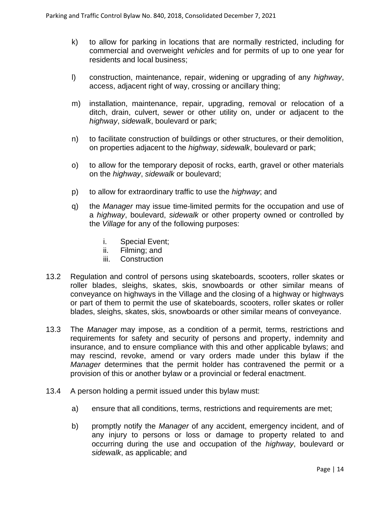- k) to allow for parking in locations that are normally restricted, including for commercial and overweight *vehicles* and for permits of up to one year for residents and local business;
- l) construction, maintenance, repair, widening or upgrading of any *highway*, access, adjacent right of way, crossing or ancillary thing;
- m) installation, maintenance, repair, upgrading, removal or relocation of a ditch, drain, culvert, sewer or other utility on, under or adjacent to the *highway*, *sidewalk*, boulevard or park;
- n) to facilitate construction of buildings or other structures, or their demolition, on properties adjacent to the *highway*, *sidewalk*, boulevard or park;
- o) to allow for the temporary deposit of rocks, earth, gravel or other materials on the *highway*, *sidewalk* or boulevard;
- p) to allow for extraordinary traffic to use the *highway*; and
- q) the *Manager* may issue time-limited permits for the occupation and use of a *highway*, boulevard, *sidewalk* or other property owned or controlled by the *Village* for any of the following purposes:
	- i. Special Event;
	- ii. Filming; and
	- iii. Construction
- 13.2 Regulation and control of persons using skateboards, scooters, roller skates or roller blades, sleighs, skates, skis, snowboards or other similar means of conveyance on highways in the Village and the closing of a highway or highways or part of them to permit the use of skateboards, scooters, roller skates or roller blades, sleighs, skates, skis, snowboards or other similar means of conveyance.
- 13.3 The *Manager* may impose, as a condition of a permit, terms, restrictions and requirements for safety and security of persons and property, indemnity and insurance, and to ensure compliance with this and other applicable bylaws; and may rescind, revoke, amend or vary orders made under this bylaw if the *Manager* determines that the permit holder has contravened the permit or a provision of this or another bylaw or a provincial or federal enactment.
- 13.4 A person holding a permit issued under this bylaw must:
	- a) ensure that all conditions, terms, restrictions and requirements are met;
	- b) promptly notify the *Manager* of any accident, emergency incident, and of any injury to persons or loss or damage to property related to and occurring during the use and occupation of the *highway*, boulevard or *sidewalk*, as applicable; and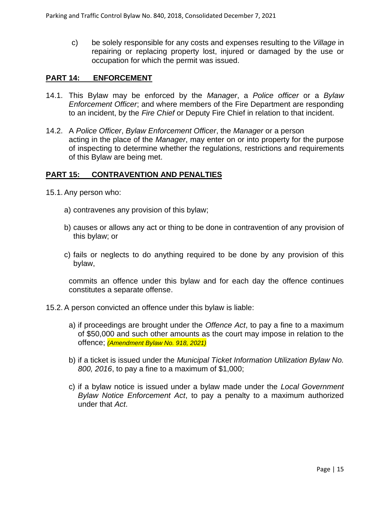c) be solely responsible for any costs and expenses resulting to the *Village* in repairing or replacing property lost, injured or damaged by the use or occupation for which the permit was issued.

#### **PART 14: ENFORCEMENT**

- 14.1. This Bylaw may be enforced by the *Manager*, a *Police officer* or a *Bylaw Enforcement Officer*; and where members of the Fire Department are responding to an incident, by the *Fire Chief* or Deputy Fire Chief in relation to that incident.
- 14.2. A *Police Officer*, *Bylaw Enforcement Officer*, the *Manager* or a person acting in the place of the *Manager*, may enter on or into property for the purpose of inspecting to determine whether the regulations, restrictions and requirements of this Bylaw are being met.

#### **PART 15: CONTRAVENTION AND PENALTIES**

- 15.1. Any person who:
	- a) contravenes any provision of this bylaw;
	- b) causes or allows any act or thing to be done in contravention of any provision of this bylaw; or
	- c) fails or neglects to do anything required to be done by any provision of this bylaw,

commits an offence under this bylaw and for each day the offence continues constitutes a separate offense.

- 15.2. A person convicted an offence under this bylaw is liable:
	- a) if proceedings are brought under the *Offence Act*, to pay a fine to a maximum of \$50,000 and such other amounts as the court may impose in relation to the offence; *(Amendment Bylaw No. 918, 2021)*
	- b) if a ticket is issued under the *Municipal Ticket Information Utilization Bylaw No. 800, 2016*, to pay a fine to a maximum of \$1,000;
	- c) if a bylaw notice is issued under a bylaw made under the *Local Government Bylaw Notice Enforcement Act*, to pay a penalty to a maximum authorized under that *Act*.